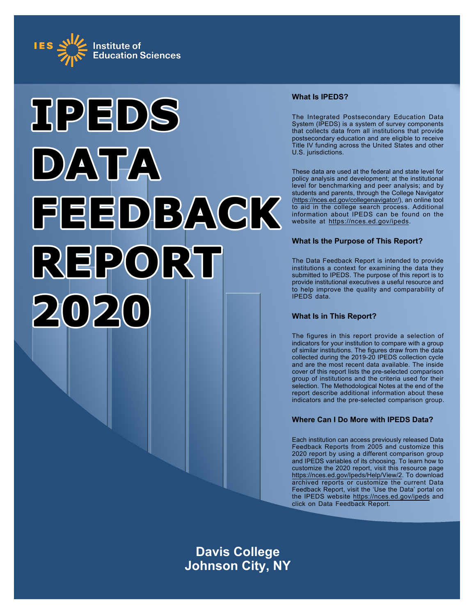



# **What Is IPEDS?**

The Integrated Postsecondary Education Data System (IPEDS) is a system of survey components that collects data from all institutions that provide postsecondary education and are eligible to receive Title IV funding across the United States and other U.S. jurisdictions.

These data are used at the federal and state level for policy analysis and development; at the institutional level for benchmarking and peer analysis; and by students and parents, through the College Navigator ([https://nces.ed.gov/collegenavigator/\)](https://nces.ed.gov/collegenavigator/), an online tool to aid in the college search process. Additional information about IPEDS can be found on the website at<https://nces.ed.gov/ipeds>.

# **What Is the Purpose of This Report?**

The Data Feedback Report is intended to provide institutions a context for examining the data they submitted to IPEDS. The purpose of this report is to provide institutional executives a useful resource and to help improve the quality and comparability of IPEDS data.

# **What Is in This Report?**

The figures in this report provide a selection of indicators for your institution to compare with a group of similar institutions. The figures draw from the data collected during the 2019-20 IPEDS collection cycle and are the most recent data available. The inside cover of this report lists the pre-selected comparison group of institutions and the criteria used for their selection. The Methodological Notes at the end of the report describe additional information about these indicators and the pre-selected comparison group.

# **Where Can I Do More with IPEDS Data?**

Each institution can access previously released Data Feedback Reports from 2005 and customize this 2020 report by using a different comparison group and IPEDS variables of its choosing. To learn how to customize the 2020 report, visit this resource page <https://nces.ed.gov/Ipeds/Help/View/2>. To download archived reports or customize the current Data Feedback Report, visit the 'Use the Data' portal on the IPEDS website<https://nces.ed.gov/ipeds> and click on Data Feedback Report.

**Davis College Johnson City, NY**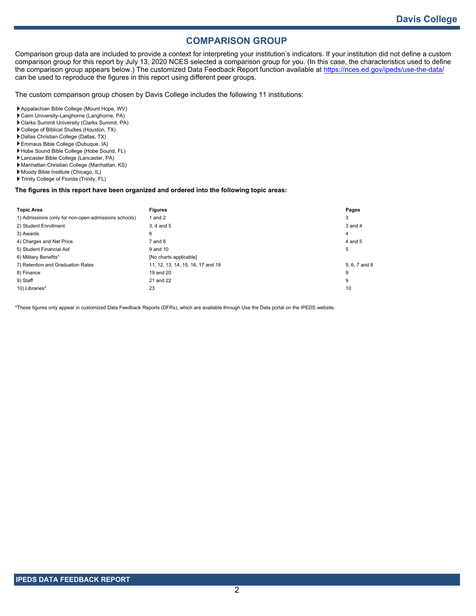# **COMPARISON GROUP**

Comparison group data are included to provide a context for interpreting your institution's indicators. If your institution did not define a custom comparison group for this report by July 13, 2020 NCES selected a comparison group for you. (In this case, the characteristics used to define the comparison group appears below.) The customized Data Feedback Report function available at<https://nces.ed.gov/ipeds/use-the-data/> can be used to reproduce the figures in this report using different peer groups.

The custom comparison group chosen by Davis College includes the following 11 institutions:

- Appalachian Bible College (Mount Hope, WV)
- Cairn University-Langhorne (Langhorne, PA)
- Clarks Summit University (Clarks Summit, PA)
- College of Biblical Studies (Houston, TX)
- Dallas Christian College (Dallas, TX)
- Emmaus Bible College (Dubuque, IA)
- Hobe Sound Bible College (Hobe Sound, FL)
- Lancaster Bible College (Lancaster, PA)
- Manhattan Christian College (Manhattan, KS)
- Moody Bible Institute (Chicago, IL)
- Trinity College of Florida (Trinity, FL)

### **The figures in this report have been organized and ordered into the following topic areas:**

| <b>Topic Area</b>                                    | <b>Figures</b>                    | Pages         |
|------------------------------------------------------|-----------------------------------|---------------|
| 1) Admissions (only for non-open-admissions schools) | and 2                             | 3             |
| 2) Student Enrollment                                | 3.4 and 5                         | $3$ and $4$   |
| 3) Awards                                            | 6                                 | 4             |
| 4) Charges and Net Price                             | $7$ and $8$                       | $4$ and $5$   |
| 5) Student Financial Aid                             | 9 and 10                          | 5             |
| 6) Military Benefits*                                | [No charts applicable]            |               |
| 7) Retention and Graduation Rates                    | 11, 12, 13, 14, 15, 16, 17 and 18 | 5, 6, 7 and 8 |
| 8) Finance                                           | 19 and 20                         | 9             |
| 9) Staff                                             | 21 and 22                         | 9             |
| 10) Libraries*                                       | 23                                | 10            |

\*These figures only appear in customized Data Feedback Reports (DFRs), which are available through Use the Data portal on the IPEDS website.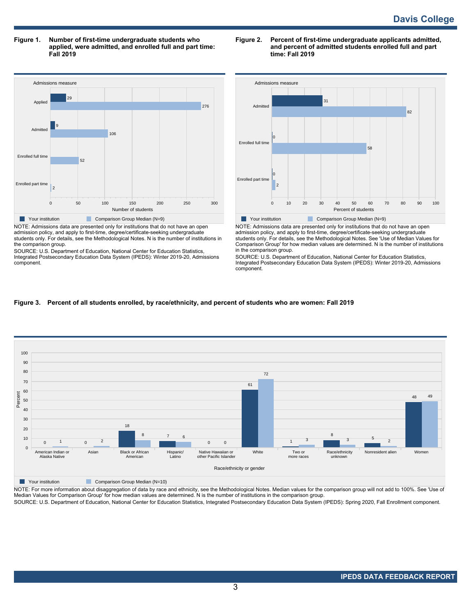**Figure 1. Number of first-time undergraduate students who applied, were admitted, and enrolled full and part time: Fall 2019**



admission policy, and apply to first-time, degree/certificate-seeking undergraduate students only. For details, see the Methodological Notes. N is the number of institutions in the comparison group.

SOURCE: U.S. Department of Education, National Center for Education Statistics, Integrated Postsecondary Education Data System (IPEDS): Winter 2019-20, Admissions component.

### **Figure 2. Percent of first-time undergraduate applicants admitted, and percent of admitted students enrolled full and part time: Fall 2019**



NOTE: Admissions data are presented only for institutions that do not have an open admission policy, and apply to first-time, degree/certificate-seeking undergraduate students only. For details, see the Methodological Notes. See 'Use of Median Values for Comparison Group' for how median values are determined. N is the number of institutions in the comparison group.

SOURCE: U.S. Department of Education, National Center for Education Statistics, Integrated Postsecondary Education Data System (IPEDS): Winter 2019-20, Admissions component.

### **Figure 3. Percent of all students enrolled, by race/ethnicity, and percent of students who are women: Fall 2019**



**Your institution** Comparison Group Median (N=10)

NOTE: For more information about disaggregation of data by race and ethnicity, see the Methodological Notes. Median values for the comparison group will not add to 100%. See 'Use of<br>Median Values for Comparison Group' for

SOURCE: U.S. Department of Education, National Center for Education Statistics, Integrated Postsecondary Education Data System (IPEDS): Spring 2020, Fall Enrollment component.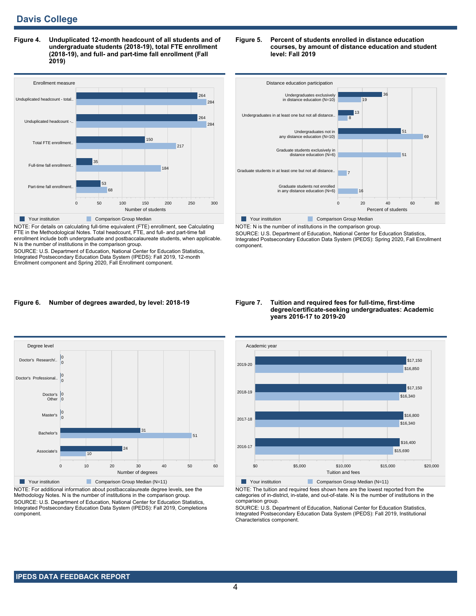**Figure 4. Unduplicated 12-month headcount of all students and of undergraduate students (2018-19), total FTE enrollment (2018-19), and full- and part-time fall enrollment (Fall 2019)**



NOTE: For details on calculating full-time equivalent (FTE) enrollment, see Calculating FTE in the Methodological Notes. Total headcount, FTE, and full- and part-time fall enrollment include both undergraduate and postbaccalaureate students, when applicable. N is the number of institutions in the comparison group.

SOURCE: U.S. Department of Education, National Center for Education Statistics, Integrated Postsecondary Education Data System (IPEDS): Fall 2019, 12-month Enrollment component and Spring 2020, Fall Enrollment component.

#### **Figure 5. Percent of students enrolled in distance education courses, by amount of distance education and student level: Fall 2019**



NOTE: N is the number of institutions in the comparison group. SOURCE: U.S. Department of Education, National Center for Education Statistics, Integrated Postsecondary Education Data System (IPEDS): Spring 2020, Fall Enrollment component.

### **Figure 6. Number of degrees awarded, by level: 2018-19**



NOTE: For additional information about postbaccalaureate degree levels, see the Methodology Notes. N is the number of institutions in the comparison group. SOURCE: U.S. Department of Education, National Center for Education Statistics, Integrated Postsecondary Education Data System (IPEDS): Fall 2019, Completions component.

#### **Figure 7. Tuition and required fees for full-time, first-time degree/certificate-seeking undergraduates: Academic years 2016-17 to 2019-20**



NOTE: The tuition and required fees shown here are the lowest reported from the categories of in-district, in-state, and out-of-state. N is the number of institutions in the comparison group.

SOURCE: U.S. Department of Education, National Center for Education Statistics, Integrated Postsecondary Education Data System (IPEDS): Fall 2019, Institutional Characteristics component.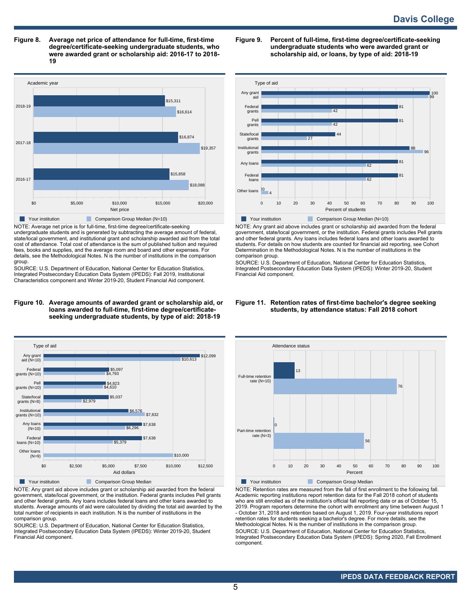**Figure 8. Average net price of attendance for full-time, first-time degree/certificate-seeking undergraduate students, who were awarded grant or scholarship aid: 2016-17 to 2018- 19**



NOTE: Average net price is for full-time, first-time degree/certificate-seeking undergraduate students and is generated by subtracting the average amount of federal, state/local government, and institutional grant and scholarship awarded aid from the total cost of attendance. Total cost of attendance is the sum of published tuition and required fees, books and supplies, and the average room and board and other expenses. For details, see the Methodological Notes. N is the number of institutions in the comparison group.

SOURCE: U.S. Department of Education, National Center for Education Statistics, Integrated Postsecondary Education Data System (IPEDS): Fall 2019, Institutional Characteristics component and Winter 2019-20, Student Financial Aid component.

#### **Figure 10. Average amounts of awarded grant or scholarship aid, or loans awarded to full-time, first-time degree/certificateseeking undergraduate students, by type of aid: 2018-19**



NOTE: Any grant aid above includes grant or scholarship aid awarded from the federal government, state/local government, or the institution. Federal grants includes Pell grants and other federal grants. Any loans includes federal loans and other loans awarded to students. Average amounts of aid were calculated by dividing the total aid awarded by the total number of recipients in each institution. N is the number of institutions in the comparison group.

SOURCE: U.S. Department of Education, National Center for Education Statistics, Integrated Postsecondary Education Data System (IPEDS): Winter 2019-20, Student Financial Aid component.

**Figure 9. Percent of full-time, first-time degree/certificate-seeking undergraduate students who were awarded grant or scholarship aid, or loans, by type of aid: 2018-19**



NOTE: Any grant aid above includes grant or scholarship aid awarded from the federal government, state/local government, or the institution. Federal grants includes Pell grants and other federal grants. Any loans includes federal loans and other loans awarded to students. For details on how students are counted for financial aid reporting, see Cohort Determination in the Methodological Notes. N is the number of institutions in the comparison group.

SOURCE: U.S. Department of Education, National Center for Education Statistics, Integrated Postsecondary Education Data System (IPEDS): Winter 2019-20, Student Financial Aid component.

### **Figure 11. Retention rates of first-time bachelor's degree seeking students, by attendance status: Fall 2018 cohort**



NOTE: Retention rates are measured from the fall of first enrollment to the following fall. Academic reporting institutions report retention data for the Fall 2018 cohort of students who are still enrolled as of the institution's official fall reporting date or as of October 15, 2019. Program reporters determine the cohort with enrollment any time between August 1 - October 31, 2018 and retention based on August 1, 2019. Four-year institutions report retention rates for students seeking a bachelor's degree. For more details, see the Methodological Notes. N is the number of institutions in the comparison group. SOURCE: U.S. Department of Education, National Center for Education Statistics, Integrated Postsecondary Education Data System (IPEDS): Spring 2020, Fall Enrollment component.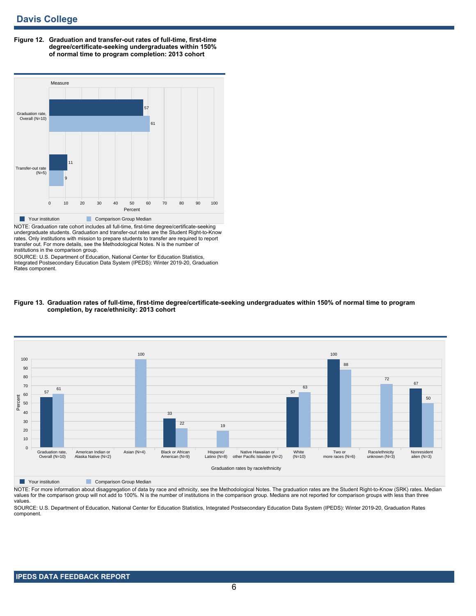**Figure 12. Graduation and transfer-out rates of full-time, first-time degree/certificate-seeking undergraduates within 150% of normal time to program completion: 2013 cohort**



NOTE: Graduation rate cohort includes all full-time, first-time degree/certificate-seeking undergraduate students. Graduation and transfer-out rates are the Student Right-to-Know rates. Only institutions with mission to prepare students to transfer are required to report transfer out. For more details, see the Methodological Notes. N is the number of institutions in the comparison group.

SOURCE: U.S. Department of Education, National Center for Education Statistics, Integrated Postsecondary Education Data System (IPEDS): Winter 2019-20, Graduation Rates component.





**Nour institution Comparison Group Median** 

NOTE: For more information about disaggregation of data by race and ethnicity, see the Methodological Notes. The graduation rates are the Student Right-to-Know (SRK) rates. Median values for the comparison group will not add to 100%. N is the number of institutions in the comparison group. Medians are not reported for comparison groups with less than three values.

SOURCE: U.S. Department of Education, National Center for Education Statistics, Integrated Postsecondary Education Data System (IPEDS): Winter 2019-20, Graduation Rates component.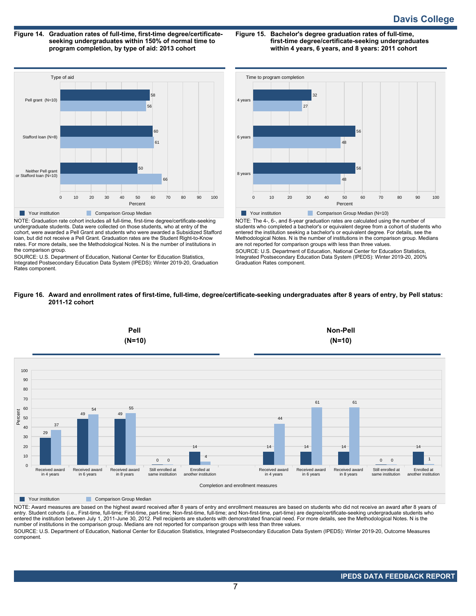**Figure 14. Graduation rates of full-time, first-time degree/certificateseeking undergraduates within 150% of normal time to program completion, by type of aid: 2013 cohort**

**Figure 15. Bachelor's degree graduation rates of full-time, first-time degree/certificate-seeking undergraduates within 4 years, 6 years, and 8 years: 2011 cohort**



NOTE: Graduation rate cohort includes all full-time, first-time degree/certificate-seeking undergraduate students. Data were collected on those students, who at entry of the cohort, were awarded a Pell Grant and students who were awarded a Subsidized Stafford loan, but did not receive a Pell Grant. Graduation rates are the Student Right-to-Know rates. For more details, see the Methodological Notes. N is the number of institutions in the comparison group.

SOURCE: U.S. Department of Education, National Center for Education Statistics, Integrated Postsecondary Education Data System (IPEDS): Winter 2019-20, Graduation Rates component.



NOTE: The 4-, 6-, and 8-year graduation rates are calculated using the number of students who completed a bachelor's or equivalent degree from a cohort of students who entered the institution seeking a bachelor's or equivalent degree. For details, see the Methodological Notes. N is the number of institutions in the comparison group. Medians are not reported for comparison groups with less than three values. SOURCE: U.S. Department of Education, National Center for Education Statistics, Integrated Postsecondary Education Data System (IPEDS): Winter 2019-20, 200% Graduation Rates component.





**The Your institution** Comparison Group Median

NOTE: Award measures are based on the highest award received after 8 years of entry and enrollment measures are based on students who did not receive an award after 8 years of entry. Student cohorts (i.e., First-time, full-time; First-time, part-time; Non-first-time, full-time; and Non-first-time, part-time) are degree/certificate-seeking undergraduate students who entered the institution between July 1, 2011-June 30, 2012. Pell recipients are students with demonstrated financial need. For more details, see the Methodological Notes. N is the number of institutions in the comparison group. Medians are not reported for comparison groups with less than three values.

SOURCE: U.S. Department of Education, National Center for Education Statistics, Integrated Postsecondary Education Data System (IPEDS): Winter 2019-20, Outcome Measures component.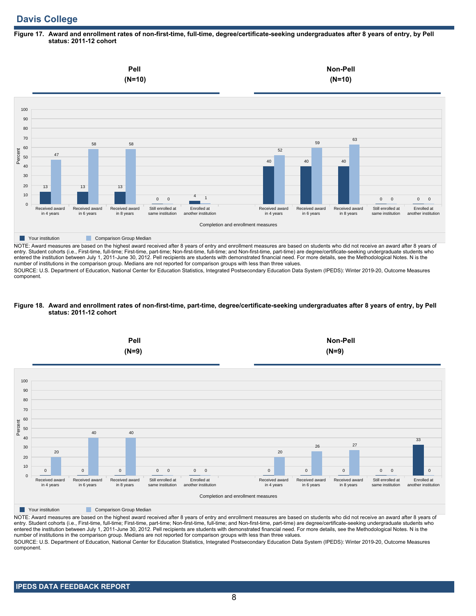# **Davis College**

### **Figure 17. Award and enrollment rates of non-first-time, full-time, degree/certificate-seeking undergraduates after 8 years of entry, by Pell status: 2011-12 cohort**



NOTE: Award measures are based on the highest award received after 8 years of entry and enrollment measures are based on students who did not receive an award after 8 years of entry. Student cohorts (i.e., First-time, full-time; First-time, part-time; Non-first-time, full-time; and Non-first-time, part-time) are degree/certificate-seeking undergraduate students who entered the institution between July 1, 2011-June 30, 2012. Pell recipients are students with demonstrated financial need. For more details, see the Methodological Notes. N is the number of institutions in the comparison group. Medians are not reported for comparison groups with less than three values.

SOURCE: U.S. Department of Education, National Center for Education Statistics, Integrated Postsecondary Education Data System (IPEDS): Winter 2019-20, Outcome Measures component.

### **Figure 18. Award and enrollment rates of non-first-time, part-time, degree/certificate-seeking undergraduates after 8 years of entry, by Pell status: 2011-12 cohort**



NOTE: Award measures are based on the highest award received after 8 years of entry and enrollment measures are based on students who did not receive an award after 8 years of entry. Student cohorts (i.e., First-time, full-time; First-time, part-time; Non-first-time, full-time; and Non-first-time, part-time) are degree/certificate-seeking undergraduate students who entered the institution between July 1, 2011-June 30, 2012. Pell recipients are students with demonstrated financial need. For more details, see the Methodological Notes. N is the number of institutions in the comparison group. Medians are not reported for comparison groups with less than three values. SOURCE: U.S. Department of Education, National Center for Education Statistics, Integrated Postsecondary Education Data System (IPEDS): Winter 2019-20, Outcome Measures component.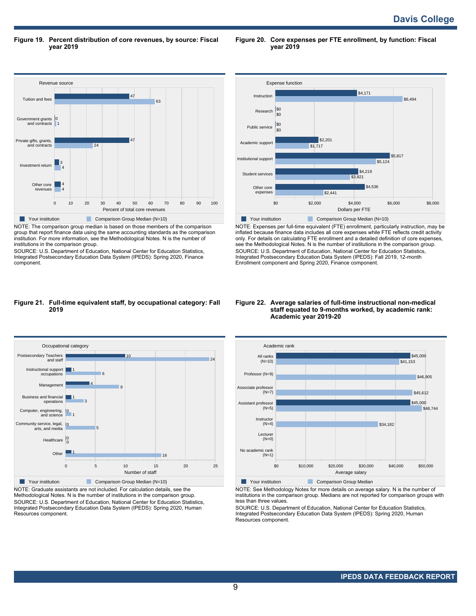**Figure 19. Percent distribution of core revenues, by source: Fiscal year 2019**

**Figure 20. Core expenses per FTE enrollment, by function: Fiscal year 2019**



NOTE: The comparison group median is based on those members of the comparison group that report finance data using the same accounting standards as the comparison institution. For more information, see the Methodological Notes. N is the number of institutions in the comparison group.

SOURCE: U.S. Department of Education, National Center for Education Statistics, Integrated Postsecondary Education Data System (IPEDS): Spring 2020, Finance component.



NOTE: Expenses per full-time equivalent (FTE) enrollment, particularly instruction, may be inflated because finance data includes all core expenses while FTE reflects credit activity only. For details on calculating FTE enrollment and a detailed definition of core expenses, see the Methodological Notes. N is the number of institutions in the comparison group. SOURCE: U.S. Department of Education, National Center for Education Statistics, Integrated Postsecondary Education Data System (IPEDS): Fall 2019, 12-month Enrollment component and Spring 2020, Finance component.

#### **Figure 21. Full-time equivalent staff, by occupational category: Fall 2019**



NOTE: Graduate assistants are not included. For calculation details, see the Methodological Notes. N is the number of institutions in the comparison group. SOURCE: U.S. Department of Education, National Center for Education Statistics, Integrated Postsecondary Education Data System (IPEDS): Spring 2020, Human Resources component.

### **Figure 22. Average salaries of full-time instructional non-medical staff equated to 9-months worked, by academic rank: Academic year 2019-20**



NOTE: See Methodology Notes for more details on average salary. N is the number of institutions in the comparison group. Medians are not reported for comparison groups with less than three values.

SOURCE: U.S. Department of Education, National Center for Education Statistics, Integrated Postsecondary Education Data System (IPEDS): Spring 2020, Human Resources component.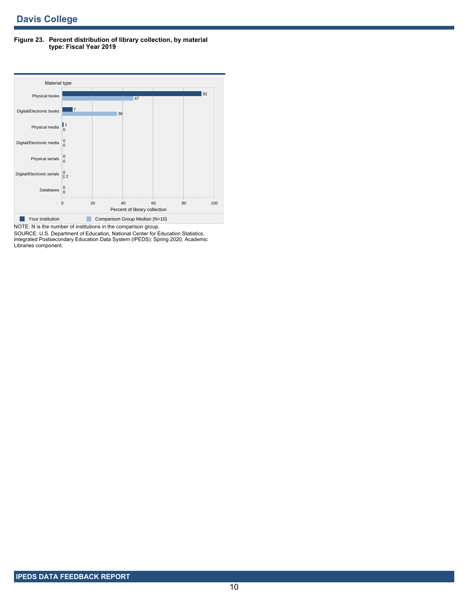**Figure 23. Percent distribution of library collection, by material type: Fiscal Year 2019**



SOURCE: U.S. Department of Education, National Center for Education Statistics, Integrated Postsecondary Education Data System (IPEDS): Spring 2020, Academic Libraries component.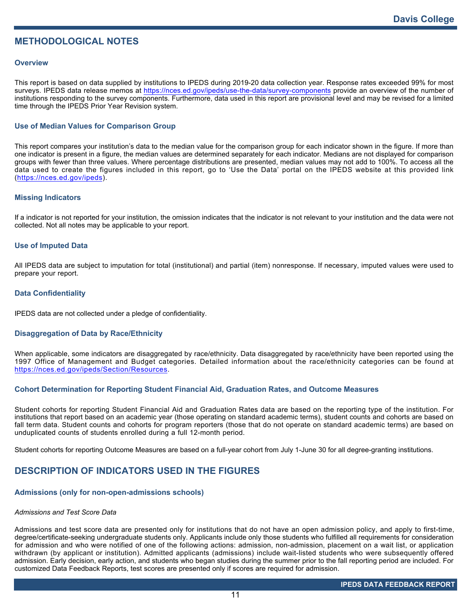# **METHODOLOGICAL NOTES**

## **Overview**

This report is based on data supplied by institutions to IPEDS during 2019-20 data collection year. Response rates exceeded 99% for most surveys. IPEDS data release memos at <https://nces.ed.gov/ipeds/use-the-data/survey-components> provide an overview of the number of institutions responding to the survey components. Furthermore, data used in this report are provisional level and may be revised for a limited time through the IPEDS Prior Year Revision system.

# **Use of Median Values for Comparison Group**

This report compares your institution's data to the median value for the comparison group for each indicator shown in the figure. If more than one indicator is present in a figure, the median values are determined separately for each indicator. Medians are not displayed for comparison groups with fewer than three values. Where percentage distributions are presented, median values may not add to 100%. To access all the data used to create the figures included in this report, go to 'Use the Data' portal on the IPEDS website at this provided link (<https://nces.ed.gov/ipeds>).

# **Missing Indicators**

If a indicator is not reported for your institution, the omission indicates that the indicator is not relevant to your institution and the data were not collected. Not all notes may be applicable to your report.

## **Use of Imputed Data**

All IPEDS data are subject to imputation for total (institutional) and partial (item) nonresponse. If necessary, imputed values were used to prepare your report.

## **Data Confidentiality**

IPEDS data are not collected under a pledge of confidentiality.

# **Disaggregation of Data by Race/Ethnicity**

When applicable, some indicators are disaggregated by race/ethnicity. Data disaggregated by race/ethnicity have been reported using the 1997 Office of Management and Budget categories. Detailed information about the race/ethnicity categories can be found at <https://nces.ed.gov/ipeds/Section/Resources>.

# **Cohort Determination for Reporting Student Financial Aid, Graduation Rates, and Outcome Measures**

Student cohorts for reporting Student Financial Aid and Graduation Rates data are based on the reporting type of the institution. For institutions that report based on an academic year (those operating on standard academic terms), student counts and cohorts are based on fall term data. Student counts and cohorts for program reporters (those that do not operate on standard academic terms) are based on unduplicated counts of students enrolled during a full 12-month period.

Student cohorts for reporting Outcome Measures are based on a full-year cohort from July 1-June 30 for all degree-granting institutions.

# **DESCRIPTION OF INDICATORS USED IN THE FIGURES**

# **Admissions (only for non-open-admissions schools)**

### *Admissions and Test Score Data*

Admissions and test score data are presented only for institutions that do not have an open admission policy, and apply to first-time, degree/certificate-seeking undergraduate students only. Applicants include only those students who fulfilled all requirements for consideration for admission and who were notified of one of the following actions: admission, non-admission, placement on a wait list, or application withdrawn (by applicant or institution). Admitted applicants (admissions) include wait-listed students who were subsequently offered admission. Early decision, early action, and students who began studies during the summer prior to the fall reporting period are included. For customized Data Feedback Reports, test scores are presented only if scores are required for admission.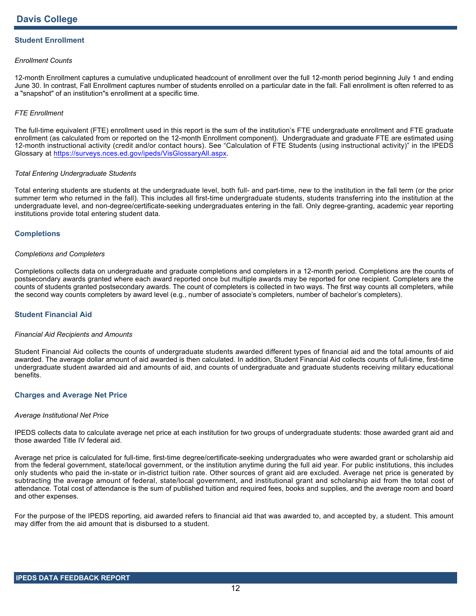# **Student Enrollment**

### *Enrollment Counts*

12-month Enrollment captures a cumulative unduplicated headcount of enrollment over the full 12-month period beginning July 1 and ending June 30. In contrast, Fall Enrollment captures number of students enrolled on a particular date in the fall. Fall enrollment is often referred to as a "snapshot" of an institution"s enrollment at a specific time.

## *FTE Enrollment*

The full-time equivalent (FTE) enrollment used in this report is the sum of the institution's FTE undergraduate enrollment and FTE graduate enrollment (as calculated from or reported on the 12-month Enrollment component). Undergraduate and graduate FTE are estimated using 12-month instructional activity (credit and/or contact hours). See "Calculation of FTE Students (using instructional activity)" in the IPEDS Glossary at <https://surveys.nces.ed.gov/ipeds/VisGlossaryAll.aspx>.

### *Total Entering Undergraduate Students*

Total entering students are students at the undergraduate level, both full- and part-time, new to the institution in the fall term (or the prior summer term who returned in the fall). This includes all first-time undergraduate students, students transferring into the institution at the undergraduate level, and non-degree/certificate-seeking undergraduates entering in the fall. Only degree-granting, academic year reporting institutions provide total entering student data.

## **Completions**

### *Completions and Completers*

Completions collects data on undergraduate and graduate completions and completers in a 12-month period. Completions are the counts of postsecondary awards granted where each award reported once but multiple awards may be reported for one recipient. Completers are the counts of students granted postsecondary awards. The count of completers is collected in two ways. The first way counts all completers, while the second way counts completers by award level (e.g., number of associate's completers, number of bachelor's completers).

# **Student Financial Aid**

### *Financial Aid Recipients and Amounts*

Student Financial Aid collects the counts of undergraduate students awarded different types of financial aid and the total amounts of aid awarded. The average dollar amount of aid awarded is then calculated. In addition, Student Financial Aid collects counts of full-time, first-time undergraduate student awarded aid and amounts of aid, and counts of undergraduate and graduate students receiving military educational benefits.

### **Charges and Average Net Price**

### *Average Institutional Net Price*

IPEDS collects data to calculate average net price at each institution for two groups of undergraduate students: those awarded grant aid and those awarded Title IV federal aid.

Average net price is calculated for full-time, first-time degree/certificate-seeking undergraduates who were awarded grant or scholarship aid from the federal government, state/local government, or the institution anytime during the full aid year. For public institutions, this includes only students who paid the in-state or in-district tuition rate. Other sources of grant aid are excluded. Average net price is generated by subtracting the average amount of federal, state/local government, and institutional grant and scholarship aid from the total cost of attendance. Total cost of attendance is the sum of published tuition and required fees, books and supplies, and the average room and board and other expenses.

For the purpose of the IPEDS reporting, aid awarded refers to financial aid that was awarded to, and accepted by, a student. This amount may differ from the aid amount that is disbursed to a student.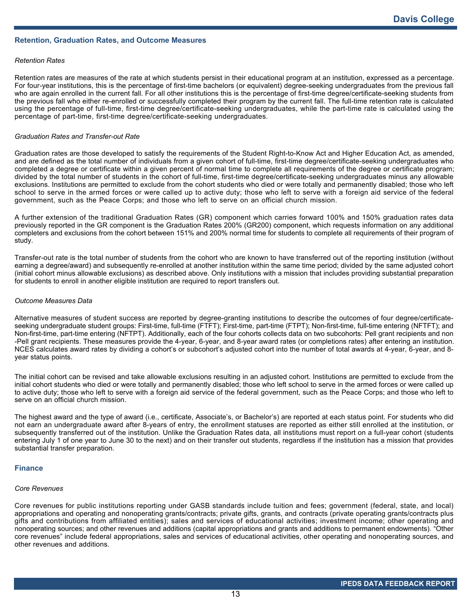## **Retention, Graduation Rates, and Outcome Measures**

### *Retention Rates*

Retention rates are measures of the rate at which students persist in their educational program at an institution, expressed as a percentage. For four-year institutions, this is the percentage of first-time bachelors (or equivalent) degree-seeking undergraduates from the previous fall who are again enrolled in the current fall. For all other institutions this is the percentage of first-time degree/certificate-seeking students from the previous fall who either re-enrolled or successfully completed their program by the current fall. The full-time retention rate is calculated using the percentage of full-time, first-time degree/certificate-seeking undergraduates, while the part-time rate is calculated using the percentage of part-time, first-time degree/certificate-seeking undergraduates.

### *Graduation Rates and Transfer-out Rate*

Graduation rates are those developed to satisfy the requirements of the Student Right-to-Know Act and Higher Education Act, as amended, and are defined as the total number of individuals from a given cohort of full-time, first-time degree/certificate-seeking undergraduates who completed a degree or certificate within a given percent of normal time to complete all requirements of the degree or certificate program; divided by the total number of students in the cohort of full-time, first-time degree/certificate-seeking undergraduates minus any allowable exclusions. Institutions are permitted to exclude from the cohort students who died or were totally and permanently disabled; those who left school to serve in the armed forces or were called up to active duty; those who left to serve with a foreign aid service of the federal government, such as the Peace Corps; and those who left to serve on an official church mission.

A further extension of the traditional Graduation Rates (GR) component which carries forward 100% and 150% graduation rates data previously reported in the GR component is the Graduation Rates 200% (GR200) component, which requests information on any additional completers and exclusions from the cohort between 151% and 200% normal time for students to complete all requirements of their program of study.

Transfer-out rate is the total number of students from the cohort who are known to have transferred out of the reporting institution (without earning a degree/award) and subsequently re-enrolled at another institution within the same time period; divided by the same adjusted cohort (initial cohort minus allowable exclusions) as described above. Only institutions with a mission that includes providing substantial preparation for students to enroll in another eligible institution are required to report transfers out.

### *Outcome Measures Data*

Alternative measures of student success are reported by degree-granting institutions to describe the outcomes of four degree/certificateseeking undergraduate student groups: First-time, full-time (FTFT); First-time, part-time (FTPT); Non-first-time, full-time entering (NFTFT); and Non-first-time, part-time entering (NFTPT). Additionally, each of the four cohorts collects data on two subcohorts: Pell grant recipients and non -Pell grant recipients. These measures provide the 4-year, 6-year, and 8-year award rates (or completions rates) after entering an institution. NCES calculates award rates by dividing a cohort's or subcohort's adjusted cohort into the number of total awards at 4-year, 6-year, and 8 year status points.

The initial cohort can be revised and take allowable exclusions resulting in an adjusted cohort. Institutions are permitted to exclude from the initial cohort students who died or were totally and permanently disabled; those who left school to serve in the armed forces or were called up to active duty; those who left to serve with a foreign aid service of the federal government, such as the Peace Corps; and those who left to serve on an official church mission.

The highest award and the type of award (i.e., certificate, Associate's, or Bachelor's) are reported at each status point. For students who did not earn an undergraduate award after 8-years of entry, the enrollment statuses are reported as either still enrolled at the institution, or subsequently transferred out of the institution. Unlike the Graduation Rates data, all institutions must report on a full-year cohort (students entering July 1 of one year to June 30 to the next) and on their transfer out students, regardless if the institution has a mission that provides substantial transfer preparation.

#### **Finance**

### *Core Revenues*

Core revenues for public institutions reporting under GASB standards include tuition and fees; government (federal, state, and local) appropriations and operating and nonoperating grants/contracts; private gifts, grants, and contracts (private operating grants/contracts plus gifts and contributions from affiliated entities); sales and services of educational activities; investment income; other operating and nonoperating sources; and other revenues and additions (capital appropriations and grants and additions to permanent endowments). "Other core revenues" include federal appropriations, sales and services of educational activities, other operating and nonoperating sources, and other revenues and additions.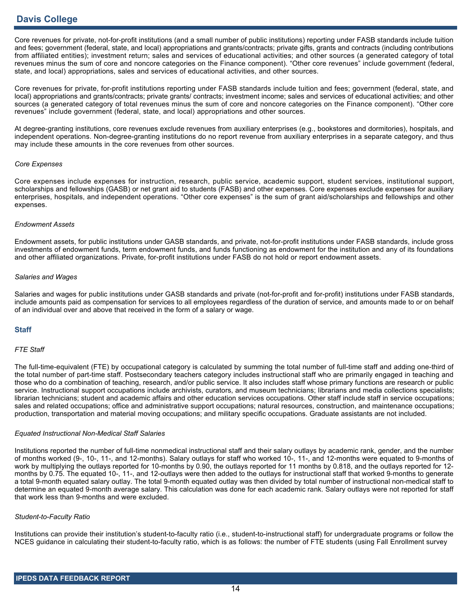Core revenues for private, not-for-profit institutions (and a small number of public institutions) reporting under FASB standards include tuition and fees; government (federal, state, and local) appropriations and grants/contracts; private gifts, grants and contracts (including contributions from affiliated entities); investment return; sales and services of educational activities; and other sources (a generated category of total revenues minus the sum of core and noncore categories on the Finance component). "Other core revenues" include government (federal, state, and local) appropriations, sales and services of educational activities, and other sources.

Core revenues for private, for-profit institutions reporting under FASB standards include tuition and fees; government (federal, state, and local) appropriations and grants/contracts; private grants/ contracts; investment income; sales and services of educational activities; and other sources (a generated category of total revenues minus the sum of core and noncore categories on the Finance component). "Other core revenues" include government (federal, state, and local) appropriations and other sources.

At degree-granting institutions, core revenues exclude revenues from auxiliary enterprises (e.g., bookstores and dormitories), hospitals, and independent operations. Non-degree-granting institutions do no report revenue from auxiliary enterprises in a separate category, and thus may include these amounts in the core revenues from other sources.

### *Core Expenses*

Core expenses include expenses for instruction, research, public service, academic support, student services, institutional support, scholarships and fellowships (GASB) or net grant aid to students (FASB) and other expenses. Core expenses exclude expenses for auxiliary enterprises, hospitals, and independent operations. "Other core expenses" is the sum of grant aid/scholarships and fellowships and other expenses.

### *Endowment Assets*

Endowment assets, for public institutions under GASB standards, and private, not-for-profit institutions under FASB standards, include gross investments of endowment funds, term endowment funds, and funds functioning as endowment for the institution and any of its foundations and other affiliated organizations. Private, for-profit institutions under FASB do not hold or report endowment assets.

## *Salaries and Wages*

Salaries and wages for public institutions under GASB standards and private (not-for-profit and for-profit) institutions under FASB standards, include amounts paid as compensation for services to all employees regardless of the duration of service, and amounts made to or on behalf of an individual over and above that received in the form of a salary or wage.

# **Staff**

## *FTE Staff*

The full-time-equivalent (FTE) by occupational category is calculated by summing the total number of full-time staff and adding one-third of the total number of part-time staff. Postsecondary teachers category includes instructional staff who are primarily engaged in teaching and those who do a combination of teaching, research, and/or public service. It also includes staff whose primary functions are research or public service. Instructional support occupations include archivists, curators, and museum technicians; librarians and media collections specialists; librarian technicians; student and academic affairs and other education services occupations. Other staff include staff in service occupations; sales and related occupations; office and administrative support occupations; natural resources, construction, and maintenance occupations; production, transportation and material moving occupations; and military specific occupations. Graduate assistants are not included.

### *Equated Instructional Non-Medical Staff Salaries*

Institutions reported the number of full-time nonmedical instructional staff and their salary outlays by academic rank, gender, and the number of months worked (9-, 10-, 11-, and 12-months). Salary outlays for staff who worked 10-, 11-, and 12-months were equated to 9-months of work by multiplying the outlays reported for 10-months by 0.90, the outlays reported for 11 months by 0.818, and the outlays reported for 12 months by 0.75. The equated 10-, 11-, and 12-outlays were then added to the outlays for instructional staff that worked 9-months to generate a total 9-month equated salary outlay. The total 9-month equated outlay was then divided by total number of instructional non-medical staff to determine an equated 9-month average salary. This calculation was done for each academic rank. Salary outlays were not reported for staff that work less than 9-months and were excluded.

### *Student-to-Faculty Ratio*

Institutions can provide their institution's student-to-faculty ratio (i.e., student-to-instructional staff) for undergraduate programs or follow the NCES guidance in calculating their student-to-faculty ratio, which is as follows: the number of FTE students (using Fall Enrollment survey